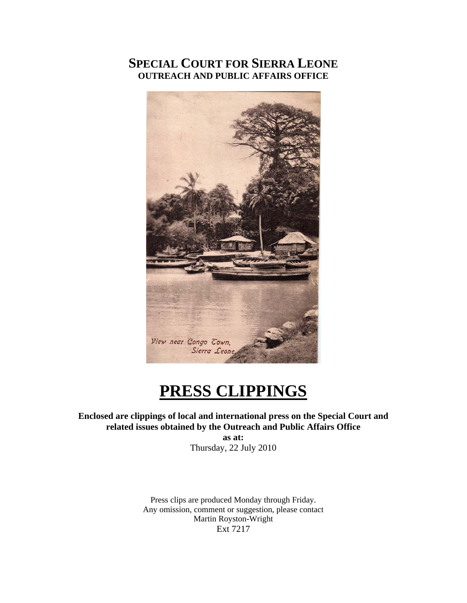### **SPECIAL COURT FOR SIERRA LEONE OUTREACH AND PUBLIC AFFAIRS OFFICE**



# **PRESS CLIPPINGS**

**Enclosed are clippings of local and international press on the Special Court and related issues obtained by the Outreach and Public Affairs Office** 

**as at:**  Thursday, 22 July 2010

Press clips are produced Monday through Friday. Any omission, comment or suggestion, please contact Martin Royston-Wright Ext 7217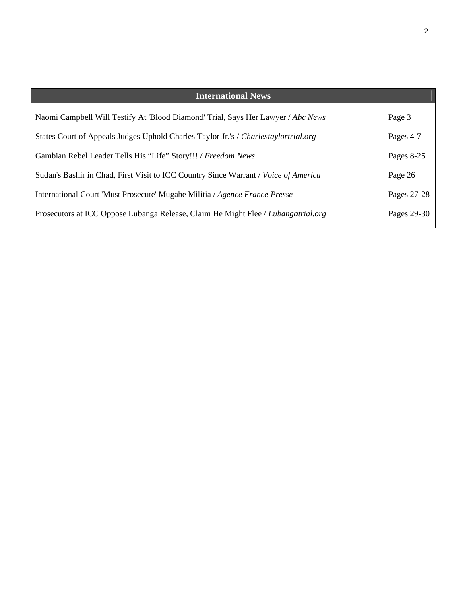| <b>International News</b>                                                           |             |
|-------------------------------------------------------------------------------------|-------------|
| Naomi Campbell Will Testify At 'Blood Diamond' Trial, Says Her Lawyer / Abc News    | Page 3      |
| States Court of Appeals Judges Uphold Charles Taylor Jr.'s / Charlestaylortrial.org | Pages 4-7   |
| Gambian Rebel Leader Tells His "Life" Story!!! / Freedom News                       | Pages 8-25  |
| Sudan's Bashir in Chad, First Visit to ICC Country Since Warrant / Voice of America | Page 26     |
| International Court 'Must Prosecute' Mugabe Militia / Agence France Presse          | Pages 27-28 |
| Prosecutors at ICC Oppose Lubanga Release, Claim He Might Flee / Lubangatrial.org   | Pages 29-30 |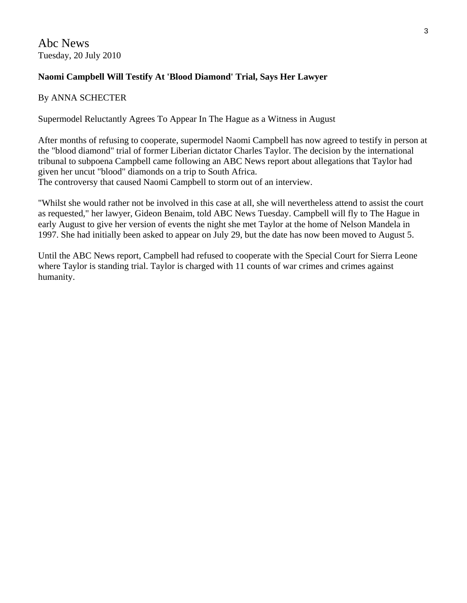#### **Naomi Campbell Will Testify At 'Blood Diamond' Trial, Says Her Lawyer**

#### By ANNA SCHECTER

Supermodel Reluctantly Agrees To Appear In The Hague as a Witness in August

After months of refusing to cooperate, supermodel [Naomi Campbell](http://abcnews.go.com/Blotter/prosecution-asks-subpoena-naomi-campbell-war-crimes-trial-blood-diamond/story?id=10700432) has now agreed to testify in person at the "blood diamond" trial of former Liberian dictator Charles Taylor. The decision by the international tribunal to subpoena Campbell came following an ABC News report about allegations that Taylor had given her uncut "blood" diamonds on a trip to South Africa. The controversy that caused Naomi Campbell to storm out of an interview.

"Whilst she would rather not be involved in this case at all, she will nevertheless attend to assist the court as requested," her lawyer, Gideon Benaim, told ABC News Tuesday. Campbell will fly to The Hague in early August to give her version of events the night she met Taylor at the home of Nelson Mandela in 1997. She had initially been asked to appear on July 29, but the date has now been moved to August 5.

Until the ABC News report, Campbell had refused to cooperate with the Special Court for Sierra Leone where Taylor is standing trial. Taylor is charged with 11 counts of war crimes and crimes against humanity.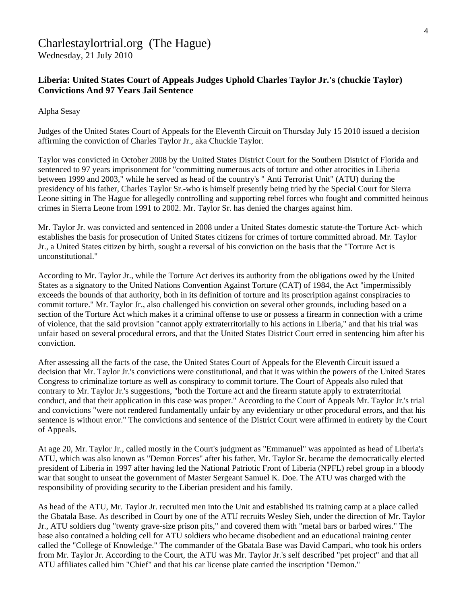## Charlestaylortrial.org (The Hague)

Wednesday, 21 July 2010

#### **Liberia: United States Court of Appeals Judges Uphold Charles Taylor Jr.'s (chuckie Taylor) Convictions And 97 Years Jail Sentence**

Alpha Sesay

Judges of the United States Court of Appeals for the Eleventh Circuit on Thursday July 15 2010 issued a decision affirming the conviction of Charles Taylor Jr., aka Chuckie Taylor.

Taylor was convicted in October 2008 by the United States District Court for the Southern District of Florida and sentenced to 97 years imprisonment for "committing numerous acts of torture and other atrocities in Liberia between 1999 and 2003," while he served as head of the country's " Anti Terrorist Unit" (ATU) during the presidency of his father, Charles Taylor Sr.-who is himself presently being tried by the Special Court for Sierra Leone sitting in The Hague for allegedly controlling and supporting rebel forces who fought and committed heinous crimes in Sierra Leone from 1991 to 2002. Mr. Taylor Sr. has denied the charges against him.

Mr. Taylor Jr. was convicted and sentenced in 2008 under a United States domestic statute-the Torture Act- which establishes the basis for prosecution of United States citizens for crimes of torture committed abroad. Mr. Taylor Jr., a United States citizen by birth, sought a reversal of his conviction on the basis that the "Torture Act is unconstitutional."

According to Mr. Taylor Jr., while the Torture Act derives its authority from the obligations owed by the United States as a signatory to the United Nations Convention Against Torture (CAT) of 1984, the Act "impermissibly exceeds the bounds of that authority, both in its definition of torture and its proscription against conspiracies to commit torture." Mr. Taylor Jr., also challenged his conviction on several other grounds, including based on a section of the Torture Act which makes it a criminal offense to use or possess a firearm in connection with a crime of violence, that the said provision "cannot apply extraterritorially to his actions in Liberia," and that his trial was unfair based on several procedural errors, and that the United States District Court erred in sentencing him after his conviction.

After assessing all the facts of the case, the United States Court of Appeals for the Eleventh Circuit issued a decision that Mr. Taylor Jr.'s convictions were constitutional, and that it was within the powers of the United States Congress to criminalize torture as well as conspiracy to commit torture. The Court of Appeals also ruled that contrary to Mr. Taylor Jr.'s suggestions, "both the Torture act and the firearm statute apply to extraterritorial conduct, and that their application in this case was proper." According to the Court of Appeals Mr. Taylor Jr.'s trial and convictions "were not rendered fundamentally unfair by any evidentiary or other procedural errors, and that his sentence is without error." The convictions and sentence of the District Court were affirmed in entirety by the Court of Appeals.

At age 20, Mr. Taylor Jr., called mostly in the Court's judgment as "Emmanuel" was appointed as head of Liberia's ATU, which was also known as "Demon Forces" after his father, Mr. Taylor Sr. became the democratically elected president of Liberia in 1997 after having led the National Patriotic Front of Liberia (NPFL) rebel group in a bloody war that sought to unseat the government of Master Sergeant Samuel K. Doe. The ATU was charged with the responsibility of providing security to the Liberian president and his family.

As head of the ATU, Mr. Taylor Jr. recruited men into the Unit and established its training camp at a place called the Gbatala Base. As described in Court by one of the ATU recruits Wesley Sieh, under the direction of Mr. Taylor Jr., ATU soldiers dug "twenty grave-size prison pits," and covered them with "metal bars or barbed wires." The base also contained a holding cell for ATU soldiers who became disobedient and an educational training center called the "College of Knowledge." The commander of the Gbatala Base was David Campari, who took his orders from Mr. Taylor Jr. According to the Court, the ATU was Mr. Taylor Jr.'s self described "pet project" and that all ATU affiliates called him "Chief" and that his car license plate carried the inscription "Demon."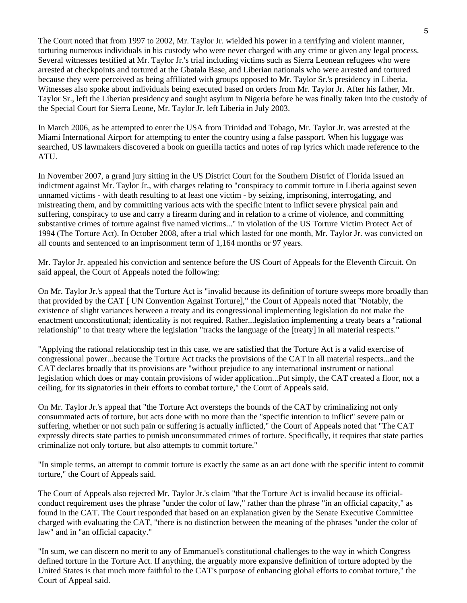The Court noted that from 1997 to 2002, Mr. Taylor Jr. wielded his power in a terrifying and violent manner, torturing numerous individuals in his custody who were never charged with any crime or given any legal process. Several witnesses testified at Mr. Taylor Jr.'s trial including victims such as Sierra Leonean refugees who were arrested at checkpoints and tortured at the Gbatala Base, and Liberian nationals who were arrested and tortured because they were perceived as being affiliated with groups opposed to Mr. Taylor Sr.'s presidency in Liberia. Witnesses also spoke about individuals being executed based on orders from Mr. Taylor Jr. After his father, Mr. Taylor Sr., left the Liberian presidency and sought asylum in Nigeria before he was finally taken into the custody of the Special Court for Sierra Leone, Mr. Taylor Jr. left Liberia in July 2003.

In March 2006, as he attempted to enter the USA from Trinidad and Tobago, Mr. Taylor Jr. was arrested at the Miami International Airport for attempting to enter the country using a false passport. When his luggage was searched, US lawmakers discovered a book on guerilla tactics and notes of rap lyrics which made reference to the ATU.

In November 2007, a grand jury sitting in the US District Court for the Southern District of Florida issued an indictment against Mr. Taylor Jr., with charges relating to "conspiracy to commit torture in Liberia against seven unnamed victims - with death resulting to at least one victim - by seizing, imprisoning, interrogating, and mistreating them, and by committing various acts with the specific intent to inflict severe physical pain and suffering, conspiracy to use and carry a firearm during and in relation to a crime of violence, and committing substantive crimes of torture against five named victims..." in violation of the US Torture Victim Protect Act of 1994 (The Torture Act). In October 2008, after a trial which lasted for one month, Mr. Taylor Jr. was convicted on all counts and sentenced to an imprisonment term of 1,164 months or 97 years.

Mr. Taylor Jr. appealed his conviction and sentence before the US Court of Appeals for the Eleventh Circuit. On said appeal, the Court of Appeals noted the following:

On Mr. Taylor Jr.'s appeal that the Torture Act is "invalid because its definition of torture sweeps more broadly than that provided by the CAT [ UN Convention Against Torture]," the Court of Appeals noted that "Notably, the existence of slight variances between a treaty and its congressional implementing legislation do not make the enactment unconstitutional; identicality is not required. Rather...legislation implementing a treaty bears a "rational relationship" to that treaty where the legislation "tracks the language of the [treaty] in all material respects."

"Applying the rational relationship test in this case, we are satisfied that the Torture Act is a valid exercise of congressional power...because the Torture Act tracks the provisions of the CAT in all material respects...and the CAT declares broadly that its provisions are "without prejudice to any international instrument or national legislation which does or may contain provisions of wider application...Put simply, the CAT created a floor, not a ceiling, for its signatories in their efforts to combat torture," the Court of Appeals said.

On Mr. Taylor Jr.'s appeal that "the Torture Act oversteps the bounds of the CAT by criminalizing not only consummated acts of torture, but acts done with no more than the "specific intention to inflict" severe pain or suffering, whether or not such pain or suffering is actually inflicted," the Court of Appeals noted that "The CAT expressly directs state parties to punish unconsummated crimes of torture. Specifically, it requires that state parties criminalize not only torture, but also attempts to commit torture."

"In simple terms, an attempt to commit torture is exactly the same as an act done with the specific intent to commit torture," the Court of Appeals said.

The Court of Appeals also rejected Mr. Taylor Jr.'s claim "that the Torture Act is invalid because its officialconduct requirement uses the phrase "under the color of law," rather than the phrase "in an official capacity," as found in the CAT. The Court responded that based on an explanation given by the Senate Executive Committee charged with evaluating the CAT, "there is no distinction between the meaning of the phrases "under the color of law" and in "an official capacity."

"In sum, we can discern no merit to any of Emmanuel's constitutional challenges to the way in which Congress defined torture in the Torture Act. If anything, the arguably more expansive definition of torture adopted by the United States is that much more faithful to the CAT's purpose of enhancing global efforts to combat torture," the Court of Appeal said.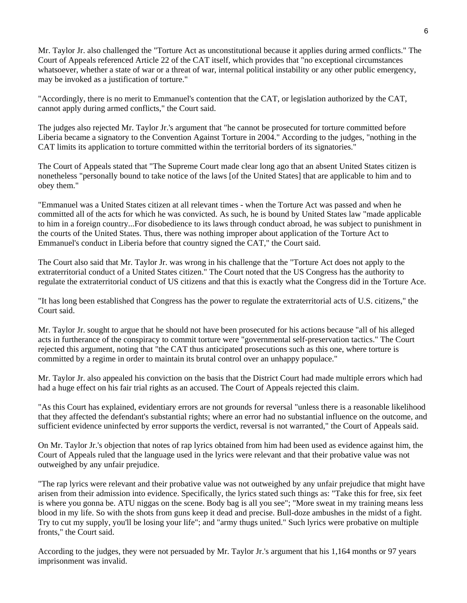Mr. Taylor Jr. also challenged the "Torture Act as unconstitutional because it applies during armed conflicts." The Court of Appeals referenced Article 22 of the CAT itself, which provides that "no exceptional circumstances whatsoever, whether a state of war or a threat of war, internal political instability or any other public emergency, may be invoked as a justification of torture."

"Accordingly, there is no merit to Emmanuel's contention that the CAT, or legislation authorized by the CAT, cannot apply during armed conflicts," the Court said.

The judges also rejected Mr. Taylor Jr.'s argument that "he cannot be prosecuted for torture committed before Liberia became a signatory to the Convention Against Torture in 2004." According to the judges, "nothing in the CAT limits its application to torture committed within the territorial borders of its signatories."

The Court of Appeals stated that "The Supreme Court made clear long ago that an absent United States citizen is nonetheless "personally bound to take notice of the laws [of the United States] that are applicable to him and to obey them."

"Emmanuel was a United States citizen at all relevant times - when the Torture Act was passed and when he committed all of the acts for which he was convicted. As such, he is bound by United States law "made applicable to him in a foreign country...For disobedience to its laws through conduct abroad, he was subject to punishment in the courts of the United States. Thus, there was nothing improper about application of the Torture Act to Emmanuel's conduct in Liberia before that country signed the CAT," the Court said.

The Court also said that Mr. Taylor Jr. was wrong in his challenge that the "Torture Act does not apply to the extraterritorial conduct of a United States citizen." The Court noted that the US Congress has the authority to regulate the extraterritorial conduct of US citizens and that this is exactly what the Congress did in the Torture Ace.

"It has long been established that Congress has the power to regulate the extraterritorial acts of U.S. citizens," the Court said.

Mr. Taylor Jr. sought to argue that he should not have been prosecuted for his actions because "all of his alleged acts in furtherance of the conspiracy to commit torture were "governmental self-preservation tactics." The Court rejected this argument, noting that "the CAT thus anticipated prosecutions such as this one, where torture is committed by a regime in order to maintain its brutal control over an unhappy populace."

Mr. Taylor Jr. also appealed his conviction on the basis that the District Court had made multiple errors which had had a huge effect on his fair trial rights as an accused. The Court of Appeals rejected this claim.

"As this Court has explained, evidentiary errors are not grounds for reversal "unless there is a reasonable likelihood that they affected the defendant's substantial rights; where an error had no substantial influence on the outcome, and sufficient evidence uninfected by error supports the verdict, reversal is not warranted," the Court of Appeals said.

On Mr. Taylor Jr.'s objection that notes of rap lyrics obtained from him had been used as evidence against him, the Court of Appeals ruled that the language used in the lyrics were relevant and that their probative value was not outweighed by any unfair prejudice.

"The rap lyrics were relevant and their probative value was not outweighed by any unfair prejudice that might have arisen from their admission into evidence. Specifically, the lyrics stated such things as: "Take this for free, six feet is where you gonna be. ATU niggas on the scene. Body bag is all you see"; "More sweat in my training means less blood in my life. So with the shots from guns keep it dead and precise. Bull-doze ambushes in the midst of a fight. Try to cut my supply, you'll be losing your life"; and "army thugs united." Such lyrics were probative on multiple fronts," the Court said.

According to the judges, they were not persuaded by Mr. Taylor Jr.'s argument that his 1,164 months or 97 years imprisonment was invalid.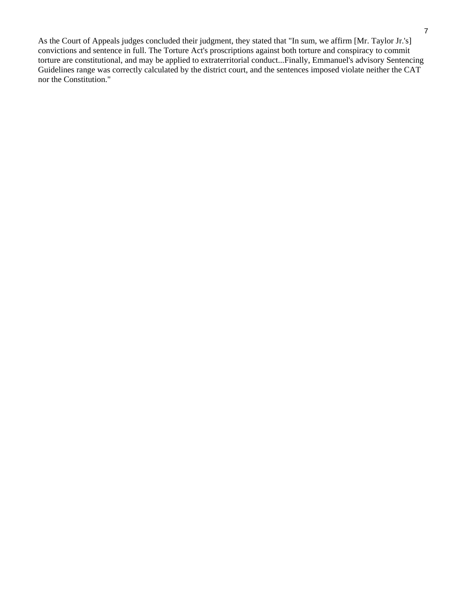As the Court of Appeals judges concluded their judgment, they stated that "In sum, we affirm [Mr. Taylor Jr.'s] convictions and sentence in full. The Torture Act's proscriptions against both torture and conspiracy to commit torture are constitutional, and may be applied to extraterritorial conduct...Finally, Emmanuel's advisory Sentencing Guidelines range was correctly calculated by the district court, and the sentences imposed violate neither the CAT nor the Constitution."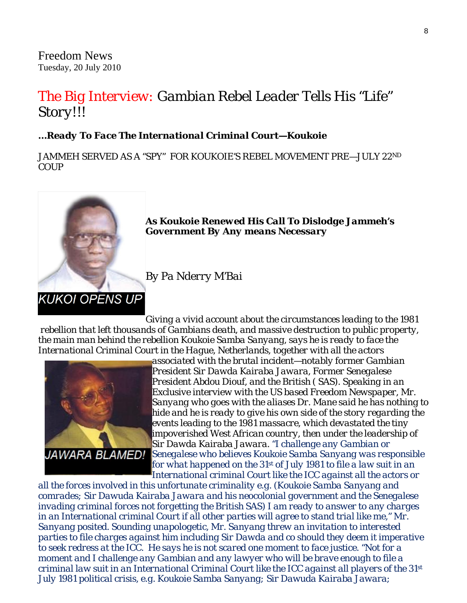Freedom News Tuesday, 20 July 2010

### *The Big Interview: Gambian Rebel Leader Tells His "Life" Story!!!*

#### *…Ready To Face The International Criminal Court—Koukoie*

*JAMMEH SERVED AS A "SPY" FOR KOUKOIE'S REBEL MOVEMENT PRE—JULY 22ND COUP*



*As Koukoie Renewed His Call To Dislodge Jammeh's Government By Any means Necessary* 

*By Pa Nderry M'Bai* 

*Giving a vivid account about the circumstances leading to the 1981 rebellion that left thousands of Gambians death, and massive destruction to public property, the main man behind the rebellion Koukoie Samba Sanyang, says he is ready to face the International Criminal Court in the Hague, Netherlands, together with all the actors* 



*associated with the brutal incident—notably former Gambian President Sir Dawda Kairaba Jawara, Former Senegalese President Abdou Diouf, and the British ( SAS). Speaking in an Exclusive interview with the US based Freedom Newspaper, Mr. Sanyang who goes with the aliases Dr. Mane said he has nothing t o hide and he is ready to give his own side of the story regarding the events leading to the 1981 massacre, which devastated the tiny impoverished West African country, then under the leadership of Sir Dawda Kairaba Jawara. "I challenge any Gambian or Senegalese who believes Koukoie Samba Sanyang was responsible for what happened on the 31st of July 1981 to file a law suit in an International criminal Court like the ICC against all the actors or* 

*all the forces involved in this unfortunate criminality e.g. (Koukoie Samba Sanyang and comrades; Sir Dawuda Kairaba Jawara and his neocolonial government and the Senegalese invading criminal forces not forgetting the British SAS) I am ready to answer to any charges in an International criminal Court if all other parties will agree to stand trial like me," Mr. Sanyang posited. Sounding unapologetic, Mr. Sanyang threw an invitation to interested parties to file charges against him including Sir Dawda and co should they deem it imperative to seek redress at the ICC. He says he is not scared one moment to face justice. "Not for a moment and I challenge any Gambian and any lawyer who will be brave enough to file a criminal law suit in an International Criminal Court like the ICC against all players of the 31st July 1981 political crisis, e.g. Koukoie Samba Sanyang; Sir Dawuda Kairaba Jawara;*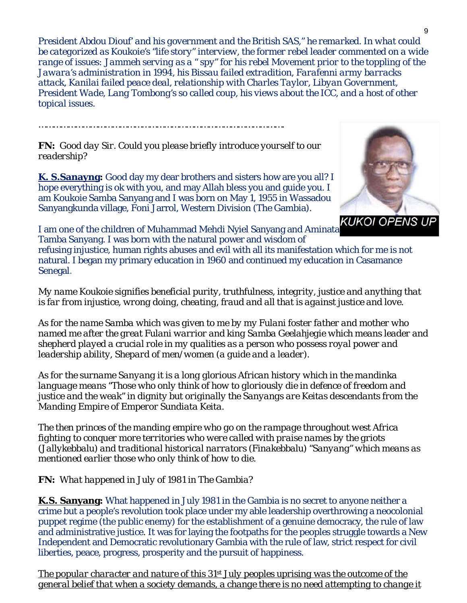*President Abdou Diouf' and his government and the British SAS," he remarked. In what could be categorized as Koukoie's "life story" interview, the former rebel leader commented on a wide range of issues: Jammeh serving as a " spy" for his rebel Movement prior to the toppling of the Jawara's administration in 1994, his Bissau failed extradition, Farafenni army barracks attack, Kanilai failed peace deal, relationship with Charles Taylor, Libyan Government, President Wade, Lang Tombong's so called coup, his views about the ICC, and a host of other topical issues.* 

*FN: Good day Sir. Could you please briefly introduce yourself to our readership?*

*……………………………………………………………………………………….*

**K. S.Sanayng:** Good day my dear brothers and sisters how are you all? I hope everything is ok with you, and may Allah bless you and guide you. I am Koukoie Samba Sanyang and I was born on May 1, 1955 in Wassadou Sanyangkunda village, Foni Jarrol, Western Division (The Gambia).



I am one of the children of Muhammad Mehdi Nyiel Sanyang and Aminata Tamba Sanyang. I was born with the natural power and wisdom of

refusing injustice, human rights abuses and evil with all its manifestation which for me is not natural. I began my primary education in 1960 and continued my education in Casamance Senegal.

*My name Koukoie signifies beneficial purity, truthfulness, integrity, justice and anything that is far from injustice, wrong doing, cheating, fraud and all that is against justice and love.*

*As for the name Samba which was given to me by my Fulani foster father and mother who named me after the great Fulani warrior and king Samba Geelahjegie which means leader and shepherd played a crucial role in my qualities as a person who possess royal power and leadership ability, Shepard of men/women (a guide and a leader).*

*As for the surname Sanyang it is a long glorious African history which in the mandinka language means "Those who only think of how to gloriously die in defence of freedom and justice and the weak" in dignity but originally the Sanyangs are Keitas descendants from the Manding Empire of Emperor Sundiata Keita.*

*The then princes of the manding empire who go on the rampage throughout west Africa fighting to conquer more territories who were called with praise names by the griots (Jallykebbalu) and traditional historical narrators (Finakebbalu) "Sanyang" which means as mentioned earlier those who only think of how to die.*

*FN: What happened in July of 1981 in The Gambia?*

**K.S. Sanyang:** What happened in July 1981 in the Gambia is no secret to anyone neither a crime but a people's revolution took place under my able leadership overthrowing a neocolonial puppet regime (the public enemy) for the establishment of a genuine democracy, the rule of law and administrative justice. It was for laying the footpaths for the peoples struggle towards a New Independent and Democratic revolutionary Gambia with the rule of law, strict respect for civil liberties, peace, progress, prosperity and the pursuit of happiness.

*The popular character and nature of this 31st July peoples uprising was the outcome of the general belief that when a society demands, a change there is no need attempting to change it*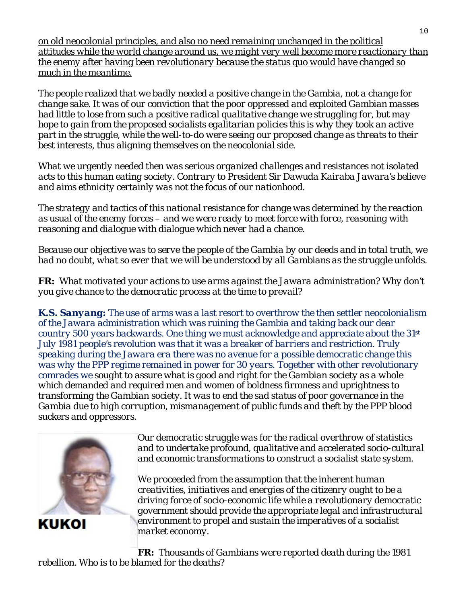*on old neocolonial principles, and also no need remaining unchanged in the political attitudes while the world change around us, we might very well become more reactionary than the enemy after having been revolutionary because the status quo would have changed so much in the meantime.*

*The people realized that we badly needed a positive change in the Gambia, not a change for change sake. It was of our conviction that the poor oppressed and exploited Gambian masses had little to lose from such a positive radical qualitative change we struggling for, but may hope to gain from the proposed socialists egalitarian policies this is why they took an active part in the struggle, while the well-to-do were seeing our proposed change as threats to their best interests, thus aligning themselves on the neocolonial side.*

*What we urgently needed then was serious organized challenges and resistances not isolated acts to this human eating society. Contrary to President Sir Dawuda Kairaba Jawara's believe and aims ethnicity certainly was not the focus of our nationhood.*

*The strategy and tactics of this national resistance for change was determined by the reaction as usual of the enemy forces – and we were ready to meet force with force, reasoning with reasoning and dialogue with dialogue which never had a chance.*

*Because our objective was to serve the people of the Gambia by our deeds and in total truth, we had no doubt, what so ever that we will be understood by all Gambians as the struggle unfolds.*

*FR: What motivated your actions to use arms against the Jawara administration? Why don't you give chance to the democratic process at the time to prevail?*

*K.S. Sanyang: The use of arms was a last resort to overthrow the then settler neocolonialism of the Jawara administration which was ruining the Gambia and taking back our dear country 500 years backwards. One thing we must acknowledge and appreciate about the 31st July 1981 people's revolution was that it was a breaker of barriers and restriction. Truly speaking during the Jawara era there was no avenue for a possible democratic change this was why the PPP regime remained in power for 30 years. Together with other revolutionary comrades we sought to assure what is good and right for the Gambian society as a whole which demanded and required men and women of boldness firmness and uprightness to transforming the Gambian society. It was to end the sad status of poor governance in the Gambia due to high corruption, mismanagement of public funds and theft by the PPP blood suckers and oppressors.*



KUKOI

*Our democratic struggle was for the radical overthrow of statistics and to undertake profound, qualitative and accelerated socio-cultural and economic transformations to construct a socialist state system.*

*We proceeded from the assumption that the inherent human creativities, initiatives and energies of the citizenry ought to be a driving force of socio-economic life while a revolutionary democratic government should provide the appropriate legal and infrastructural environment to propel and sustain the imperatives of a socialist market economy.*

*FR: Thousands of Gambians were reported death during the 1981 rebellion. Who is to be blamed for the deaths?*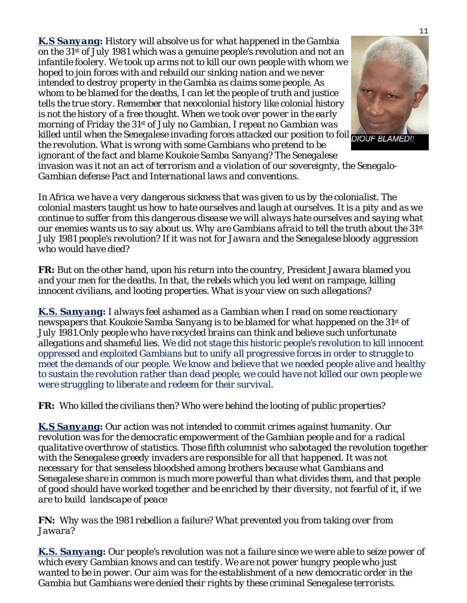*K.S Sanyang: History will absolve us for what happened in the Gambia on the 31st of July 1981 which was a genuine people's revolution and not an infantile foolery. We took up arms not to kill our own people with whom we hoped to join forces with and rebuild our sinking nation and we never intended to destroy property in the Gambia as claims some people. As whom to be blamed for the deaths, I can let the people of truth and justice tells the true story. Remember that neocolonial history like colonial history is not the history of a free thought. When we took over power in the early morning of Friday the 31st of July no Gambian, I repeat no Gambian was killed until when the Senegalese invading forces attacked our position to foil DIOUF BLAMED!!* 

*the revolution. What is wrong with some Gambians who pretend to be ignorant of the fact and blame Koukoie Samba Sanyang? The Senegalese* 

*invasion was it not an act of terrorism and a violation of our sovereignty, the Senegalo-Gambian defense Pact and International laws and conventions.*

*In Africa we have a very dangerous sickness that was given to us by the colonialist. The colonial masters taught us how to hate ourselves and laugh at ourselves. It is a pity and as we continue to suffer from this dangerous disease we will always hate ourselves and saying what our enemies wants us to say about us. Why are Gambians afraid to tell the truth about the 31st July 1981 people's revolution? If it was not for Jawara and the Senegalese bloody aggression who would have died?*

*FR: But on the other hand, upon his return into the country, President Jawara blamed you and your men for the deaths. In that, the rebels which you led went on rampage, killing innocent civilians, and looting properties. What is your view on such allegations?*

*K.S. Sanyang: I always feel ashamed as a Gambian when I read on some reactionary newspapers that Koukoie Samba Sanyang is to be blamed for what happened on the 31st of July 1981.Only people who have recycled brains can think and believe such unfortunate allegations and shameful lies. We did not stage this historic people's revolution to kill innocent oppressed and exploited Gambians but to unify all progressive forces in order to struggle to meet the demands of our people. We know and believe that we needed people alive and healthy to sustain the revolution rather than dead people, we could have not killed our own people we were struggling to liberate and redeem for their survival.*

*FR: Who killed the civilians then? Who were behind the looting of public properties?*

*K.S Sanyang: Our action was not intended to commit crimes against humanity. Our revolution was for the democratic empowerment of the Gambian people and for a radical qualitative overthrow of statistics. Those fifth columnist who sabotaged the revolution together with the Senegalese greedy invaders are responsible for all that happened. It was not necessary for that senseless bloodshed among brothers because what Gambians and Senegalese share in common is much more powerful than what divides them, and that people of good should have worked together and be enriched by their diversity, not fearful of it, if we are to build landscape of peace*

*FN: Why was the 1981 rebellion a failure? What prevented you from taking over from Jawara?*

*K.S. Sanyang: Our people's revolution was not a failure since we were able to seize power of which every Gambian knows and can testify. We are not power hungry people who just wanted to be in power. Our aim was for the establishment of a new democratic order in the Gambia but Gambians were denied their rights by these criminal Senegalese terrorists.*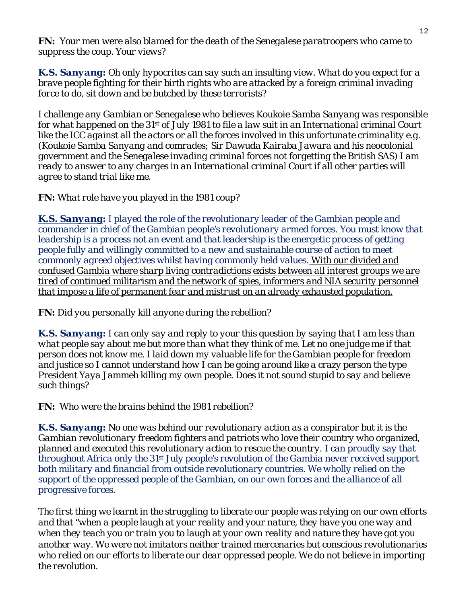*FN: Your men were also blamed for the death of the Senegalese paratroopers who came to suppress the coup. Your views?*

*K.S. Sanyang: Oh only hypocrites can say such an insulting view. What do you expect for a brave people fighting for their birth rights who are attacked by a foreign criminal invading force to do, sit down and be butched by these terrorists?* 

*I challenge any Gambian or Senegalese who believes Koukoie Samba Sanyang was responsible for what happened on the 31st of July 1981 to file a law suit in an International criminal Court like the ICC against all the actors or all the forces involved in this unfortunate criminality e.g. (Koukoie Samba Sanyang and comrades; Sir Dawuda Kairaba Jawara and his neocolonial government and the Senegalese invading criminal forces not forgetting the British SAS) I am ready to answer to any charges in an International criminal Court if all other parties will agree to stand trial like me.*

*FN: What role have you played in the 1981 coup?* 

*K.S. Sanyang: I played the role of the revolutionary leader of the Gambian people and commander in chief of the Gambian people's revolutionary armed forces. You must know that leadership is a process not an event and that leadership is the energetic process of getting people fully and willingly committed to a new and sustainable course of action to meet commonly agreed objectives whilst having commonly held values. With our divided and confused Gambia where sharp living contradictions exists between all interest groups we are tired of continued militarism and the network of spies, informers and NIA security personnel that impose a life of permanent fear and mistrust on an already exhausted population.*

*FN: Did you personally kill anyone during the rebellion?* 

*K.S. Sanyang: I can only say and reply to your this question by saying that I am less than what people say about me but more than what they think of me. Let no one judge me if that person does not know me. I laid down my valuable life for the Gambian people for freedom and justice so I cannot understand how I can be going around like a crazy person the type President Yaya Jammeh killing my own people. Does it not sound stupid to say and believe such things?*

*FN: Who were the brains behind the 1981 rebellion?* 

*K.S. Sanyang: No one was behind our revolutionary action as a conspirator but it is the Gambian revolutionary freedom fighters and patriots who love their country who organized, planned and executed this revolutionary action to rescue the country. I can proudly say that throughout Africa only the 31st July people's revolution of the Gambia never received support both military and financial from outside revolutionary countries. We wholly relied on the support of the oppressed people of the Gambian, on our own forces and the alliance of all progressive forces.*

*The first thing we learnt in the struggling to liberate our people was relying on our own efforts and that "when a people laugh at your reality and your nature, they have you one way and when they teach you or train you to laugh at your own reality and nature they have got you another way. We were not imitators neither trained mercenaries but conscious revolutionaries who relied on our efforts to liberate our dear oppressed people. We do not believe in importing the revolution.*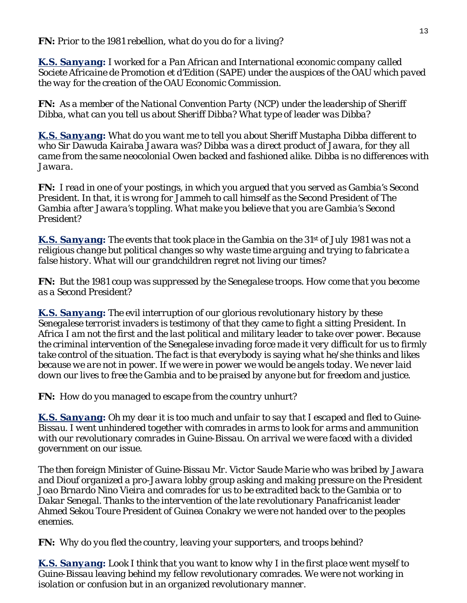*K.S. Sanyang: I worked for a Pan African and International economic company called Societe Africaine de Promotion et d'Edition (SAPE) under the auspices of the OAU which paved the way for the creation of the OAU Economic Commission.*

*FN: As a member of the National Convention Party (NCP) under the leadership of Sheriff Dibba, what can you tell us about Sheriff Dibba? What type of leader was Dibba?*

*K.S. Sanyang: What do you want me to tell you about Sheriff Mustapha Dibba different to who Sir Dawuda Kairaba Jawara was? Dibba was a direct product of Jawara, for they all came from the same neocolonial Owen backed and fashioned alike. Dibba is no differences with Jawara.*

*FN: I read in one of your postings, in which you argued that you served as Gambia's Second President. In that, it is wrong for Jammeh to call himself as the Second President of The Gambia after Jawara's toppling. What make you believe that you are Gambia's Second President?*

*K.S. Sanyang: The events that took place in the Gambia on the 31st of July 1981 was not a religious change but political changes so why waste time arguing and trying to fabricate a false history. What will our grandchildren regret not living our times?*

*FN: But the 1981 coup was suppressed by the Senegalese troops. How come that you become as a Second President?*

*K.S. Sanyang: The evil interruption of our glorious revolutionary history by these Senegalese terrorist invaders is testimony of that they came to fight a sitting President. In Africa I am not the first and the last political and military leader to take over power. Because the criminal intervention of the Senegalese invading force made it very difficult for us to firmly take control of the situation. The fact is that everybody is saying what he/she thinks and likes because we are not in power. If we were in power we would be angels today. We never laid down our lives to free the Gambia and to be praised by anyone but for freedom and justice.*

*FN: How do you managed to escape from the country unhurt?* 

*K.S. Sanyang: Oh my dear it is too much and unfair to say that I escaped and fled to Guine-Bissau. I went unhindered together with comrades in arms to look for arms and ammunition with our revolutionary comrades in Guine-Bissau. On arrival we were faced with a divided government on our issue.*

*The then foreign Minister of Guine-Bissau Mr. Victor Saude Marie who was bribed by Jawara and Diouf organized a pro-Jawara lobby group asking and making pressure on the President Joao Brnardo Nino Vieira and comrades for us to be extradited back to the Gambia or to Dakar Senegal. Thanks to the intervention of the late revolutionary Panafricanist leader Ahmed Sekou Toure President of Guinea Conakry we were not handed over to the peoples enemies.*

*FN: Why do you fled the country, leaving your supporters, and troops behind?* 

*K.S. Sanyang: Look I think that you want to know why I in the first place went myself to Guine-Bissau leaving behind my fellow revolutionary comrades. We were not working in isolation or confusion but in an organized revolutionary manner.*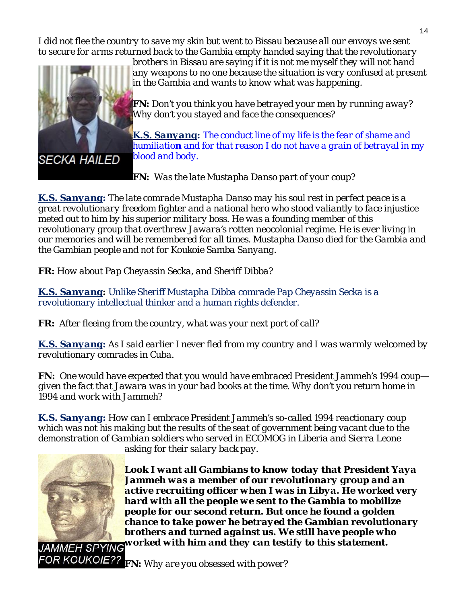*I did not flee the country to save my skin but went to Bissau because all our envoys we sent to secure for arms returned back to the Gambia empty handed saying that the revolutionary* 



*brothers in Bissau are saying if it is not me myself they will not hand any weapons to no one because the situation is very confused at present in the Gambia and wants to know what was happening.*

*FN: Don't you think you have betrayed your men by running away? Why don't you stayed and face the consequences?* 

*K.S. Sanyang: The conduct line of my life is the fear of shame and humiliation and for that reason I do not have a grain of betrayal in my blood and body.*

*FN: Was the late Mustapha Danso part of your coup?* 

*K.S. Sanyang: The late comrade Mustapha Danso may his soul rest in perfect peace is a great revolutionary freedom fighter and a national hero who stood valiantly to face injustice meted out to him by his superior military boss. He was a founding member of this revolutionary group that overthrew Jawara's rotten neocolonial regime. He is ever living in our memories and will be remembered for all times. Mustapha Danso died for the Gambia and the Gambian people and not for Koukoie Samba Sanyang.*

*FR: How about Pap Cheyassin Secka, and Sheriff Dibba?* 

*K.S. Sanyang: Unlike Sheriff Mustapha Dibba comrade Pap Cheyassin Secka is a revolutionary intellectual thinker and a human rights defender.*

*FR: After fleeing from the country, what was your next port of call?* 

*K.S. Sanyang: As I said earlier I never fled from my country and I was warmly welcomed by revolutionary comrades in Cuba.*

*FN: One would have expected that you would have embraced President Jammeh's 1994 coup given the fact that Jawara was in your bad books at the time. Why don't you return home in 1994 and work with Jammeh?*

*K.S. Sanyang: How can I embrace President Jammeh's so-called 1994 reactionary coup which was not his making but the results of the seat of government being vacant due to the demonstration of Gambian soldiers who served in ECOMOG in Liberia and Sierra Leone asking for their salary back pay.*



*Look I want all Gambians to know today that President Yaya Jammeh was a member of our revolutionary group and an active recruiting officer when I was in Libya. He worked very hard with all the people we sent to the Gambia to mobilize people for our second return. But once he found a golden chance to take power he betrayed the Gambian revolutionary brothers and turned against us. We still have people who worked with him and they can testify to this statement.*

FRIX **FIN:** Why are you obsessed with power?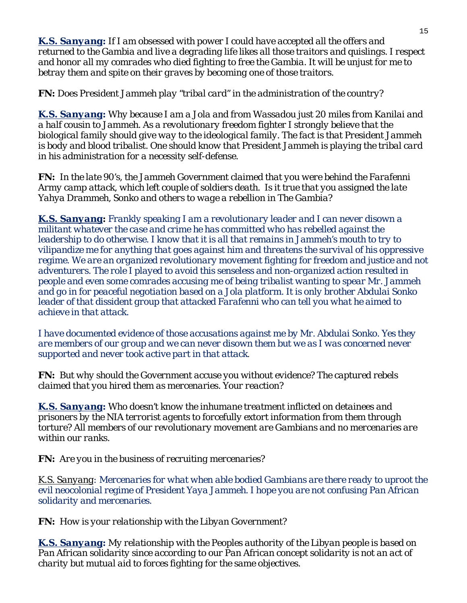*K.S. Sanyang: If I am obsessed with power I could have accepted all the offers and returned to the Gambia and live a degrading life likes all those traitors and quislings. I respect and honor all my comrades who died fighting to free the Gambia. It will be unjust for me to betray them and spite on their graves by becoming one of those traitors.*

*FN: Does President Jammeh play "tribal card" in the administration of the country?* 

K.S. Sanyang: Why because I am a Jola and from Wassadou just 20 miles from Kanilai and *a half cousin to Jammeh. As a revolutionary freedom fighter I strongly believe that the biological family should give way to the ideological family. The fact is that President Jammeh is body and blood tribalist. One should know that President Jammeh is playing the tribal card in his administration for a necessity self-defense.*

Army camp attack, which left couple of soldiers death. Is it true that you assigned the late *Yahya Drammeh, Sonko and others to wage a rebellion in The Gambia? FN: In the late 90's, the Jammeh Government claimed that you were behind the Farafenni*

*K.S. Sanyang: Frankly speaking I am a revolutionary leader and I can never disow n a militant whatever the case and crime he has committed who has rebelled against the leadership to do otherwise. I know that it is all that remains in Jammeh's mouth to try to vilipandize me for anything that goes against him and threatens the survival of his oppressive*  regime. We are an organized revolutionary movement fighting for freedom and justice and not *adventurers. The role I played to avoid this senseless and non-organized action resulted in people and even some comrades accusing me of being tribalist wanting to spear Mr. Jammeh and go in for peaceful negotiation based on a Jola platform. It is only brother Abdulai Son ko leader of that dissident group that attacked Farafenni who can tell you what he aimed to achieve in that attack.* 

are members of our group and we can never disown them but we as I was concerned never *supported and never took active part in that attack*. *I have documented evidence of those accusations against me by Mr. Abdulai Sonko. Yes they*

**FN:** But why should the Government accuse you without evidence? The captured rebels *claimed that you hired them as mercenaries. Your reaction?*

*K.S. Sanyang: Who doesn't know the inhumane treatment inflicted on detainees and prisoners by the NIA terrorist agents to forcefully extort information from them through torture? All members of our revolutionary movement are Gambians and no mercenaries are within our ranks.*

*FN: Are you in the business of recruiting mercenaries?* 

K.S. Sanyang: Mercenaries for what when able bodied Gambians are there ready to uproot the *evil neocolonial regime of Pr esident Yaya Jammeh. I hope you are not confusing Pan African solidarity and mercenaries.*

*FN: How is your relationship with the Libyan Government?* 

*K.S. Sanyang: My relationship with the Peoples authority of the Libyan people is based on Pan African solidarity since according to our Pan African concept solidarity is not an act of charity but mutual aid to forces fighting for the same objectives.*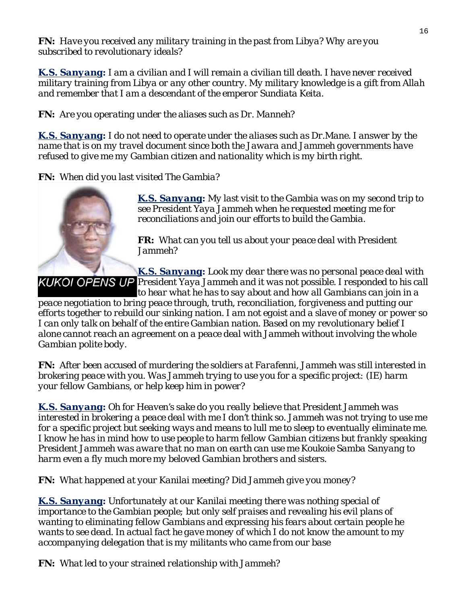*FN: Have you received any military training in the past from Libya? Why are you subscribed to revolutionary ideals?*

*K.S. Sanyang : I am a civilian and I will remain a civilian till death. I have never received knowledge is a gift from Allah military training from Libya or any other country. My military and remember that I am a descendant of the emperor Sundiata Keita.*

*FN: Are you operating under the aliases such as Dr. Manneh?*

*K.S. Sanyang : I do not need to operate under the aliases such as Dr.Mane. I answer by the name that is on my travel document since both the Jawara and Jammeh governments have* refused to give me my Gambian citizen and nationality which is my birth right.

*FN: When did you last visited The Gambia?* 



*K.S. Sanyang : My last visit to the Gambia was on my second trip to in our efforts to build the Gambia. reconciliations and jo see President Yaya Jammeh when he requested meeting me for* 

*FR: What can you tell us about your peace deal with President Jammeh?* 

*K.S. Sanyang: Look my dear there was no personal peace deal wit h President Yaya Jammeh and it was not possible. I responded to his call*

*to hear what he has to say about and how all Gambians can join in a*  peace negotiation to bring peace through, truth, reconciliation, forgiveness and putting our *efforts together to rebuild our sinking nation. I am not egoist and a slave of money or power so I can only talk on behalf of the entire Gambian nation. Based on my revolutionary belief I alone cannot reach an agreement on a peace deal with Jammeh without involving the whole Gambian polite body.*

*FN: After been accused of murdering the soldiers at Farafenni, Jammeh was still interested in brokering peace with you. Was Jammeh trying to use you for a specific project: (IE) harm your fellow Gambians, or help keep him in power?* 

*K.S. Sanyang: Oh for Heaven's sake do you really believe that President Jammeh was*  interested in brokering a peace deal with me I don't think so. Jammeh was not trying to use me for a specific project but seeking ways and means to lull me to sleep to eventually eliminate me. *I know he has in mind how to use people to harm fellow Gambian citizens but frankly speaking Sanyang to President Jammeh was aware that no man on earth can use me Koukoie Samba harm even a fly much more my beloved Gambian brothers and sisters.*

*FN: What happened at your Kanilai meeting? Did Jammeh give you money?* 

*K.S. Sanyang: Unfortunately at our Kanilai meeting there was nothing special of importance to the Gambian people; but only self praises and revealing his evil plans of wanting to eliminating fellow Gambians and expressing his fears about certain people he wants to see dead. In actual fact he gave money of which I do not know the amount to my accompanying delegation that is my militants who came from our base*

*FN: What led to your strained relationship with Jammeh?*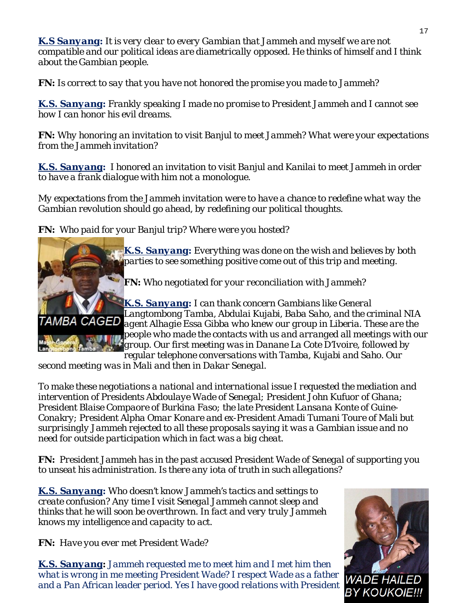*K.S Sanyang: It is very clear to every Gambian that Jammeh and myself we are not compatible and our political ideas are diametrically opposed. He thinks of himself and I think about the Gambian people.*

*FN: Is correct to say that you have not honored the promise you made to Jammeh?*

*K.S. Sanyang: Frankly speaking I made no promise to President Jammeh and I cannot see how I can honor his evil dreams.*

**FN:** Why honoring an invitation to visit Banjul to meet Jammeh? What were your expectations *from the Jammeh invitation?*

*K.S. Sanyang: I honored an invitation to visit Banjul and Kanilai to meet Jammeh in order to have a frank dialogue with him not a monologue.*

*My expectations from the Jammeh invitation were to have a chance to redefine what way the Gambian revolution should go ahead, by redefining our political thoughts.*

*FN: Who paid for your Banjul trip? Where were you hosted?* 



*K.S. Sanyang : Everything was done on the wish and believes by both parties to see something positive come out of this trip and meeting.*

*FN: Who negotiated for your reconciliation with Jammeh?* 

*K.S. Sanyang: I can thank concern Gambians like General Langtombong Tamba, Abdulai Kujabi, Baba Saho, and the criminal N IA agent Alhagie Essa Gibba who knew our group in Liberia. These are the people who made the contacts with us and arranged all meetings with our group. Our first meeting was in Danane La Cote D'Ivoire, followed by* 

*regular telephone conversations with Tamba, Kujabi and Saho. Our second meeting was in Mali and then in Dakar Senegal.*

*intervention of Presidents Abdoulaye Wade of Senegal; President John Kufuor of Ghana; President Blaise Compaore of Burkina Faso; the late President Lansana Konte of Guinen issue and no surprisingly Jammeh rejected to all these proposals saying it was a Gambia need for outside participation which in fact was a big cheat. To make these negotiations a national and international issue I requested the mediation and Conakry; President Alpha Omar Konare and ex-President Amadi Tumani Toure of Mali but* 

to unseat his administration. Is there any iota of truth in such allegations? *FN: President Jammeh has in the past accused President Wade of Senegal of supporting you* 

*K.S. Sanyang: Who doesn't know Jammeh's tactics and settings to create confusion? Any time I visit Senegal Jammeh cannot sleep and thinks that he will soon be overthrown. In fact and very truly Jammeh knows my intelligence and capacity to act.*

*FN: Have you ever met President Wade?* 

*K.S. Sanyang : Jammeh requested me to meet him and I met him then what is wrong in me meeting President Wade? I respect Wade as a father*  WADE HA. *and a Pan African leader period. Yes I have good relations with President* BY KOUKOIE!!!

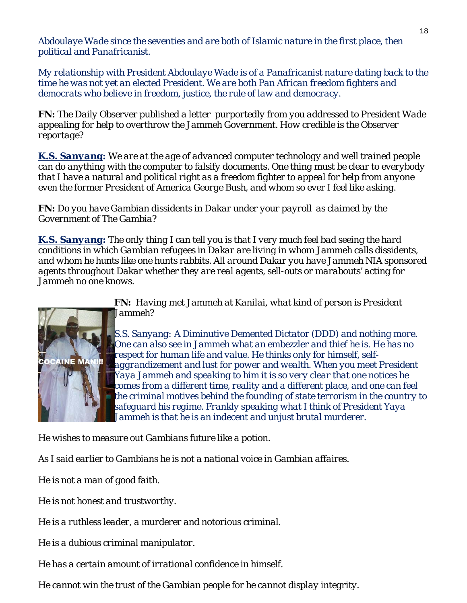*anist. political and Panafric Abdoulaye Wade since the seventies and are both of Islamic nature in the first place, then* 

democrats who believe in freedom, justice, the rule of law and democracy. *My relationship with President Abdoulaye Wade is of a Panafricanist nature dating back to the time he was not yet an elected President. We are both Pan African freedom fighters and* 

*FN: The Daily Observer published a letter purportedly from you addressed to President Wade appealing for help to overthrow the Jammeh Government. How credible is the Observer reportage?*

*K.S. Sanyang : We are at the age of advanced computer technology and well trained people can do anything with the computer to falsify documents. One thing must be clear to everybody* that I have a natural and political right as a freedom fighter to appeal for help from anyone *even the former President of America George Bush, and whom so ever I feel like asking.*

*FN: Do you have Gambian dissidents in Dakar under your payroll as claimed by the Government of The Gambia?*

*K.S. Sanyang: The only thing I can tell you is that I very much feel bad seeing the hard conditions in which Gambian refugees in Dakar are living in whom Jammeh calls dissidents,*  and whom he hunts like one hunts rabbits. All around Dakar you have Jammeh NIA sponsored *agents throughout Dakar whether they are real agents, sell-outs or marabouts' acting for Jammeh no one knows.* 



*FN: Having met Jammeh at Kanilai, what kind of person is President Jammeh?* 

*S.S. Sanyang: A Diminutive Demented Dictator (DDD) and nothing more . One can also see in Jammeh what an embezzler and thief he is. He has no respect for human life and value. He thinks only for himself, self*aggrandizement and lust for power and wealth. When you meet President *Yaya Jammeh and speaking to him it is so very clear that one notices he comes from a different time, reality and a different place, and one can feel*  the criminal motives behind the founding of state terrorism in the country to *safeguard his regime. Frankly speaking what I think of President Yaya*  Jammeh is that he is an indecent and unjust brutal murderer.

*He wishes to measure out Gambians future like a potion.* 

As I said earlier to Gambians he is not a national voice in Gambian affaires.

*He is not a man of good faith.*

*He is not honest and trustworthy.*

*He is a ruthless leader, a murderer and notorious criminal.*

*He is a dubious criminal manipulator.*

*He has a certain amount of irrational confidence in himself.* 

*He cannot win the trust of the Gambian people for he cannot display integrity.*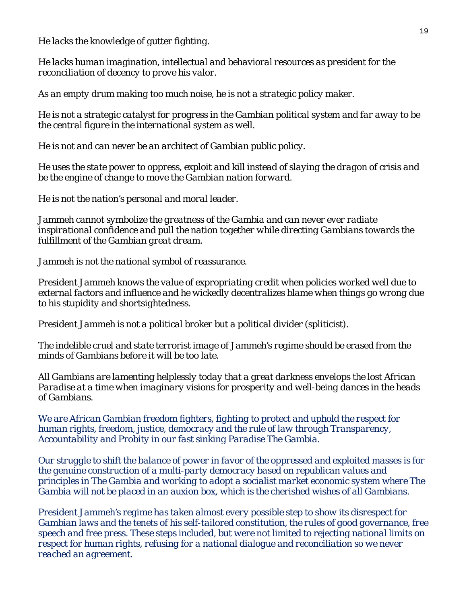*He lacks the knowledge of gutter fighting.*

*He lacks human imagination, intellectual and behavioral resources as president for the reconciliation of decency to prove his valor.*

*As an empty drum making too much noise, he is not a strategic policy maker.*

*He is not a strategic catalyst for progress in the Gambian political system and far away to be the central figure in the international system as well.*

*He is not and can never be an architect of Gambian public policy.*

*He uses the state power to oppress, exploit and kill instead of slaying the dragon of crisis and*  be the engine of change to move the Gambian nation forward.

*He is not the nation's personal and moral leader.*

*the Gambia and can never ever radiate Jammeh cannot symbolize the greatness of inspirational confidence and pull the nation together while directing Gambians towards the fulfillment of the Gambian great dream.*

*Jammeh is not the national symbol of reassurance.*

President Jammeh knows the value of expropriating credit when policies worked well due to *external factors and influence and he wickedly decentralizes blame when things go wrong due to his stupidity and shortsightedness.*

*President Jammeh is not a political broker but a political divider (spliticist).*

*The indelible cruel and state terrorist image of Jammeh's regime should be erased from the minds of Gambians before it will be too late.*

All Gambians are lamenting helplessly today that a great darkness envelops the lost African *Paradise at a time when imaginary visions for prosperity and well-being dances in the heads of Gambians.*

We are African Gambian freedom fighters, fighting to protect and uphold the respect for *human rights, freedom, justice, democracy and the rule of law through Transparency, Accountability and Probity in our fast sinking Paradise The Gambia.*

*principles in The Gambia and working to adopt a socialist market economic system where The Our struggle to shift the balance of power in favor of the oppressed and exploited masses is for the genuine construction of a multi-party democracy based on republican values and Gambia will not be placed in an auxion box, which is the cherished wishes of all Gambians.*

Gambian laws and the tenets of his self-tailored constitution, the rules of good governance, free *hese steps included, but were not limited to rejecting national limits on speech and free press. T respect for human rights, refusing for a national dialogue and reconciliation so we never President Jammeh's regime has taken almost every possible step to show its disrespect for reached an agreement.*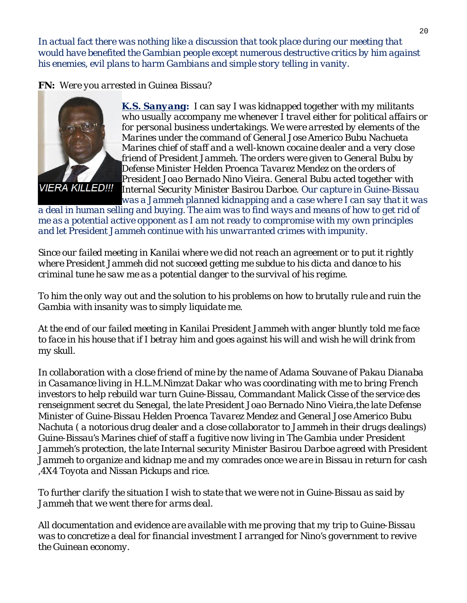In actual fact there was nothing like a discussion that took place during our meeting that *would have benefited the Gambian people except numerous destructive critics by him against his enemies, evil plans to harm Gambians and simple story telling in vanity.*

*FN: Were you arres ted in Guinea Bissau?* 



*K.S. Sanyang: I can say I was kidnapped together with my militants*  who usually accompany me whenever I travel either for political affairs or *for personal business undertakings. We were arrested by elements o f the Marines under the command of General Jose Americo Bubu Nachueta Marines chief of staff and a well-known cocaine dealer and a very close friend of President Jammeh. The orders were given to General Bubu by Defense Minister Helden Proenca Tavarez Mendez on the orders of President Joao Bernado Nino Vieira. General Bubu acted together with Internal Security Minister Basirou Darboe. Our capture in Guine-Biss au was a Jammeh planned kidnapping and a case where I can say that it was* 

*a deal in human selling and buying. The aim was to find ways and means of how to get rid of me as a potential active opponent as I am not ready to compromise with my own principles and let President Jammeh continue with his unwarranted crimes with impunity.*

*Since our failed meeting in Kanilai where we did not reach an agreement or to put it rightly criminal tune he saw me as a potential danger to the survival of his regime. where President Jammeh did not succeed getting me subdue to his dicta and dance to his* 

*To him the only way out and the solution to his problems on how to brutally rule and ruin the Gambia with insanity was to simply liquidate me.*

*At the end of our failed meeting in Kanilai President Jammeh with anger bluntly told me face to face in his house that if I betray him and goes against his will and wish he will drink from my skull.*

*se renseignment secret du Senegal, the late President Joao Bernado Nino Vieira,the late Defen* Guine-Bissau's Marines chief of staff a fugitive now living in The Gambia under President *Jammeh's protection, the late Internal security Minister Basirou Darboe agreed with President*  Jammeh to organize and kidnap me and my comrades once we are in Bissau in return for cash *In collaboration with a close friend of mine by the name of Adama Souvane of Pakau Dianaba in Casamance living in H.L.M.Nimzat Dakar who was coordinating with me to bring French investors to help rebuild war turn Guine-Bissau, Commandant Malick Cisse of the service des Minister of Guine-Bissau Helden Proenca Tavarez Mendez and General Jose Americo Bubu Nachuta ( a notorious drug dealer and a close collaborator to Jammeh in their drugs dealings) ,4X4 Toyota and Nissan Pickups and rice.*

*To further clarify the situation I wish to state that we were not in Guine-Bissau as said by Jammeh that we went there for arms deal.*

*All documentation and evidence are available with me proving that my trip to Guine-Bissau was to concretize a deal for financial investment I arranged for Nino's government to revive the Guinean economy.*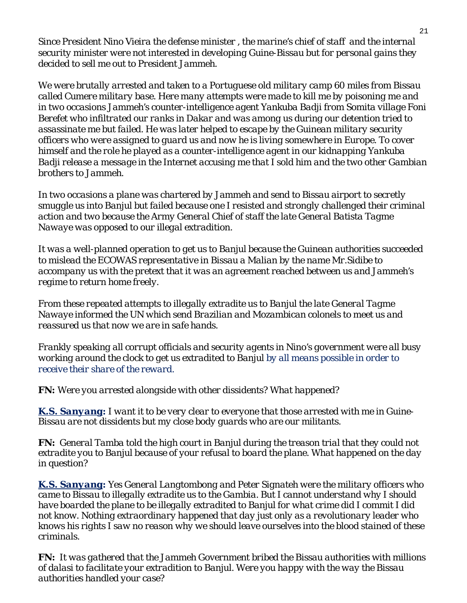Since President Nino Vieira the defense minister, the marine's chief of staff and the internal *security minister were not interested in developing Guine-Bissau but for personal gains they decided to sell me out to President Jammeh.*

We were brutally arrested and taken to a Portuguese old military camp 60 miles from Bissau in two occasions Jammeh's counter-intelligence agent Yankuba Badji from Somita village Foni assassinate me but failed. He was later helped to escape by the Guinean military security *officers who were assigned to guard us and now he is living somewhere in Europe. To cover called Cumere military base. Here many attempts were made to kill me by poisoning me and Berefet who infiltrated our ranks in Dakar and was among us during our detention tried to himself and the role he played as a counter-intelligence agent in our kidnapping Yankuba Badji release a message in the Internet accusing me that I sold him and the two other Gambian brothers to Jammeh.* 

*In two occasions a plane was chartered by Jammeh and send to Bissau airport to secretly e action and two because the Army General Chief of staff the late General Batista Tagm smuggle us into Banjul but failed because one I resisted and strongly challenged their criminal Nawaye was opposed to our illegal extradition.*

*It was a well-planned operation to get us to Banjul because the Guinean authorities succeeded 's accompany us with the pretext that it was an agreement reached between us and Jammeh to mislead the ECOWAS representative in Bissau a Malian by the name Mr.Sidibe to regime to return home freely.*

*fe hands. reassured us that now we are in sa From these repeated attempts to illegally extradite us to Banjul the late General Tagme Nawaye informed the UN which send Brazilian and Mozambican colonels to meet us and* 

Frankly speaking all corrupt officials and security agents in Nino's government were all busy *working around the clock to get us extradited to Banjul by all means possible in order to receive their share of the reward.*

*FN: Were you arrested alongside with other dissidents? What happened?* 

*K.S. Sanyang: I want it to be very clear to everyone that those arrested with me in Guine-Bissau are not dissidents but my close body guards who are our militants.*

*FN: General Tamba told the high court in Banjul during the treason trial that they could not extradite you to Banjul because of your refusal to board the plane. What happened on the day in question?*

*K.S. Sanyang: Yes General Langtombong and Peter Signateh were the military officers who came to Bissau to illegally extradite us to the Gambia. But I cannot understand why I should have boarded the plane to be illegally extradited to Banjul for what crime did I commit I did*  knows his rights I saw no reason why we should leave ourselves into the blood stained of these *not know. Nothing extraordinary happened that day just only as a revolutionary leader who criminals.*

*FN:* It was gathered that the Jammeh Government bribed the Bissau authorities with millions *of dalasi to facilitate your extradition to Banjul. Were you happy with the way the Bissau authorities handled your case?*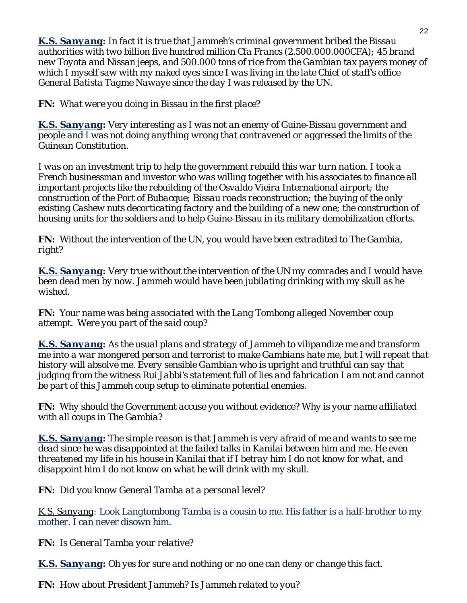*K.S. Sanyang: In fact it is true that Jammeh's criminal government bribed the Bissau authorities with two billion five hundred million Cfa Francs (2.500.000.000CFA); 45 brand new Toyota and Nissan jeeps, and 500.000 tons of rice from the Gambian tax payers money of*  which I myself saw with my naked eyes since I was living in the late Chief of staff's office *General Batista Tagme Nawaye since the day I was released by the UN.*

*FN: What were you doing in Bissau in the first place?* 

*K.S. Sanyang : Very interesting as I was not an enemy of Guine-Bissau government and e people and I was not doing anything wrong that contravened or aggressed the limits of th Guinean Constitution.*

*construction of the Port of Bubacque; Bissau roads reconstruction; the buying of the only*  existing Cashew nuts decorticating factory and the building of a new one; the construction of  *units for the soldiers and to help Guine-Bissau in its military demobilization efforts. housing I was on an investment trip to help the government rebuild this war turn nation. I took a French businessman and investor who was willing together with his associates to finance all important projects like the rebuilding of the Osvaldo Vieira International airport; the* 

*FN: Without the intervention of the UN, you would have been extradited to The Gambia, right?*

*K.S. Sanyang : Very true without the intervention of the UN my comrades and I would have been dead men by now. Jammeh would have been jubilating drinking with my skull as he wished.*

*FN: Your name was being associated with the Lang Tombong alleged November coup attempt. Were you part of the said coup?*

*K.S. Sanyang: As the usual plans and strategy of Jammeh to vilipandize me and transform me into a war mongered person and terrorist to make Gambians hate me, but I will repeat that history will absolve me. Every sensible Gambian who is upright and truthful can say that*  judging from the witness Rui Jabbi's statement full of lies and fabrication I am not and cannot be part of this Jammeh coup setup to eliminate potential enemies.

*FN: Why should the Government accuse you without evidence? Why is your name affiliated with all coups in The Gambia?* 

*K.S. Sanyang: The simple reason is that Jammeh is very afraid of me and wants to see me dead since he was disappointed at the failed talks in Kanilai between him and me. He even*  threatened my life in his house in Kanilai that if I betray him I do not know for what, and *disappoint him I do not know on what he will drink with my skull.* 

*FN: Did you know General Tamba at a personal level?* 

*K.S. Sanyang: Look Langtombong Tamba is a cousin to me. His father is a half-brother to my mother. I can never disown him.*

*FN: Is General Tamba your relative?* 

*K.S. Sanyang: Oh yes for sure and nothing or no one can deny or change this fact.*

*FN: How about President Jammeh? Is Jammeh related to you?*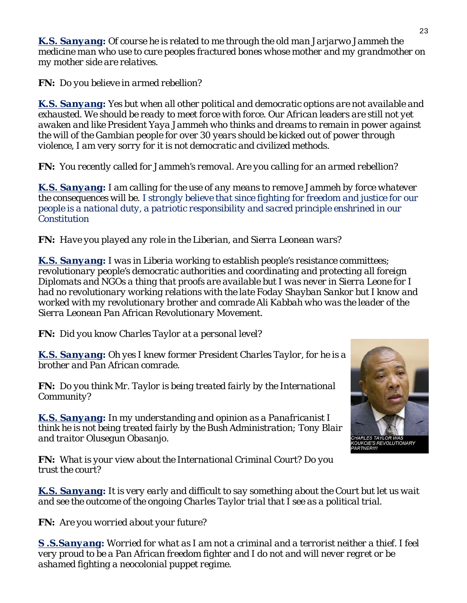*K.S. Sanyang: Of course he is related to me through the old man Jarjarwo Jammeh the medicine man who use to cure peoples fractured bones whose mother and my grandmother on my mother side are relatives.*

*FN: Do you believe in armed rebellion?* 

*K.S. Sanyang: Yes but when all other political and democratic options are not available and exhausted. We should be ready to meet force with force. Our African leaders are still not yet awaken and like President Yaya Jammeh who thinks and dreams to remain in power against the will of the Gambian people for over 30 years should be kicked out of power through violence, I am very sorry for it is not democratic and civilized methods.*

*FN: You recently called for Jammeh's removal. Are you calling for an armed rebellion?* 

*K.S. Sanyang: I am calling for the use of any means to remove Jammeh by force whatever the consequences will be. I strongly believe that since fighting for freedom and justice for our people is a national duty, a patriotic responsibility and sacred principle enshrined in our Constitution*

*FN: Have you played any role in the Liberian, and Sierra Leonean wars?* 

*K.S. Sanyang: I was in Liberia working to establish people's resistance committees; revolutionary people's democratic authorities and coordinating and protecting all foreign Diplomats and NGOs a thing that proofs are available but I was never in Sierra Leone for I had no revolutionary working relations with the late Foday Shayban Sankor but I know and worked with my revolutionary brother and comrade Ali Kabbah who was the leader of the Sierra Leonean Pan African Revolutionary Movement.*

*FN: Did you know Charles Taylor at a personal level?* 

*K.S. Sanyang: Oh yes I knew former President Charles Taylor, for he is a brother and Pan African comrade.*

*FN: Do you think Mr. Taylor is being treated fairly by the International Community?* 

*K.S. Sanyang: In my understanding and opinion as a Panafricanist I think he is not being treated fairly by the Bush Administration; Tony Blair and traitor Olusegun Obasanjo.*

*FN: What is your view about the International Criminal Court? Do you trust the court?*

*K.S. Sanyang: It is very early and difficult to say something about the Court but let us wait and see the outcome of the ongoing Charles Taylor trial that I see as a political trial.*

*FN: Are you worried about your future?* 

*S .S.Sanyang: Worried for what as I am not a criminal and a terrorist neither a thief. I feel very proud to be a Pan African freedom fighter and I do not and will never regret or be ashamed fighting a neocolonial puppet regime.*



**COIE'S REVOLUTIONARY**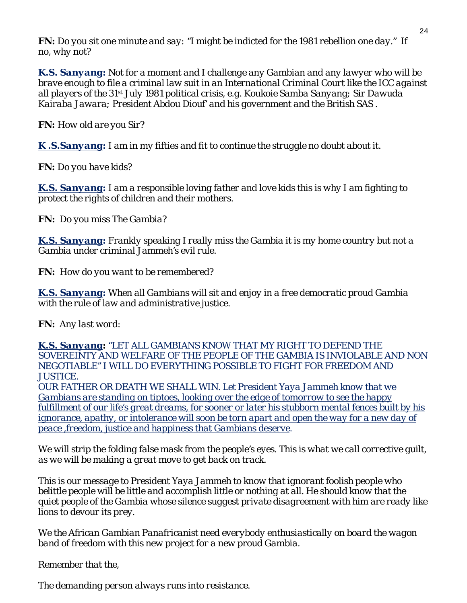*FN: Do you sit one minute and say: "I might be indicted for the 1981 rebellion one day." If no, why not?*

*K.S. Sanyang: Not for a moment and I challenge any Gambian and any lawyer who will be brave enough to file a criminal law suit in an International Criminal Court like the ICC against all players of the 31st July 1981 political crisis, e.g. Koukoie Samba Sanyang; Sir Dawuda Kairaba Jawara; President Abdou Diouf' and his government and the British SAS .*

*FN: How old are you Sir?*

*K .S.Sanyang: I am in my fifties and fit to continue the struggle no doubt about it.*

*FN: Do you have kids?*

*K.S. Sanyang: I am a responsible loving father and love kids this is why I am fighting to protect the rights of children and their mothers.*

*FN: Do you miss The Gambia?*

*K.S. Sanyang: Frankly speaking I really miss the Gambia it is my home country but not a Gambia under criminal Jammeh's evil rule.*

*FN: How do you want to be remembered?*

*K.S. Sanyang: When all Gambians will sit and enjoy in a free democratic proud Gambia with the rule of law and administrative justice.*

*FN: Any last word:*

*K.S. Sanyang: "LET ALL GAMBIANS KNOW THAT MY RIGHT TO DEFEND THE SOVEREINTY AND WELFARE OF THE PEOPLE OF THE GAMBIA IS INVIOLABLE AND NON NEGOTIABLE" I WILL DO EVERYTHING POSSIBLE TO FIGHT FOR FREEDOM AND JUSTICE.* 

*OUR FATHER OR DEATH WE SHALL WIN. Let President Yaya Jammeh know that we Gambians are standing on tiptoes, looking over the edge of tomorrow to see the happy fulfillment of our life's great dreams, for sooner or later his stubborn mental fences built by his ignorance, apathy, or intolerance will soon be torn apart and open the way for a new day of peace ,freedom, justice and happiness that Gambians deserve.*

*We will strip the folding false mask from the people's eyes. This is what we call corrective guilt, as we will be making a great move to get back on track.*

*This is our message to President Yaya Jammeh to know that ignorant foolish people who belittle people will be little and accomplish little or nothing at all. He should know that the quiet people of the Gambia whose silence suggest private disagreement with him are ready like lions to devour its prey.*

*We the African Gambian Panafricanist need everybody enthusiastically on board the wagon band of freedom with this new project for a new proud Gambia.*

*Remember that the,*

*The demanding person always runs into resistance.*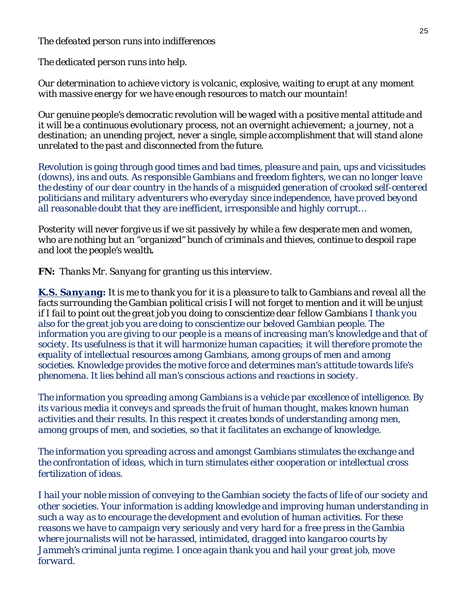*The defeated person runs into indifferences*

*The dedicated person runs into help.*

*Our determination to achieve victory is volcanic, explosive, waiting to erupt at any moment with massive energy for we have enough resources to match our mountain!* 

*Our genuine people's democratic revolution will be waged with a positive mental attitude and it will be a continuous evolutionary process, not an overnight achievement; a journey, not a destination; an unending project, never a single, simple accomplishment that will stand alone unrelated to the past and disconnected from the future.*

*Revolution is going through good times and bad times, pleasure and pain, ups and vicissitudes (downs), ins and outs. As responsible Gambians and freedom fighters, we can no longer leave the destiny of our dear country in the hands of a misguided generation of crooked self-centered politicians and military adventurers who everyday since independence, have proved beyond all reasonable doubt that they are inefficient, irresponsible and highly corrupt…*

*Posterity will never forgive us if we sit passively by while a few desperate men and women, who are nothing but an "organized" bunch of criminals and thieves, continue to despoil rape and loot the people's wealth.*

*FN: Thanks Mr. Sanyang for granting us this interview.*

*K.S. Sanyang: It is me to thank you for it is a pleasure to talk to Gambians and reveal all the facts surrounding the Gambian political crisis I will not forget to mention and it will be unjust if I fail to point out the great job you doing to conscientize dear fellow Gambians I thank you also for the great job you are doing to conscientize our beloved Gambian people. The information you are giving to our people is a means of increasing man's knowledge and that of society. Its usefulness is that it will harmonize human capacities; it will therefore promote the equality of intellectual resources among Gambians, among groups of men and among societies. Knowledge provides the motive force and determines man's attitude towards life's phenomena. It lies behind all man's conscious actions and reactions in society.*

*The information you spreading among Gambians is a vehicle par excellence of intelligence. By its various media it conveys and spreads the fruit of human thought, makes known human activities and their results. In this respect it creates bonds of understanding among men, among groups of men, and societies, so that it facilitates an exchange of knowledge.*

*The information you spreading across and amongst Gambians stimulates the exchange and the confrontation of ideas, which in turn stimulates either cooperation or intellectual cross fertilization of ideas.*

*I hail your noble mission of conveying to the Gambian society the facts of life of our society and other societies. Your information is adding knowledge and improving human understanding in such a way as to encourage the development and evolution of human activities. For these reasons we have to campaign very seriously and very hard for a free press in the Gambia where journalists will not be harassed, intimidated, dragged into kangaroo courts by Jammeh's criminal junta regime. I once again thank you and hail your great job, move forward.*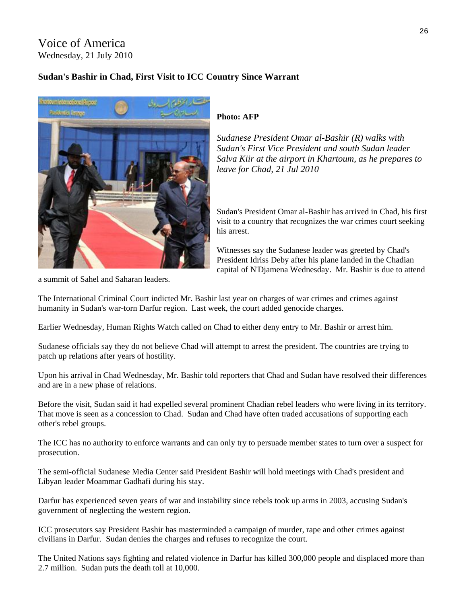#### Voice of America Wednesday, 21 July 2010

#### **Sudan's Bashir in Chad, First Visit to ICC Country Since Warrant**



#### **Photo: AFP**

*Sudanese President Omar al-Bashir (R) walks with Sudan's First Vice President and south Sudan leader Salva Kiir at the airport in Khartoum, as he prepares to leave for Chad, 21 Jul 2010* 

Sudan's President Omar al-Bashir has arrived in Chad, his first visit to a country that recognizes the war crimes court seeking his arrest.

Witnesses say the Sudanese leader was greeted by Chad's President Idriss Deby after his plane landed in the Chadian capital of N'Djamena Wednesday. Mr. Bashir is due to attend

a summit of Sahel and Saharan leaders.

The International Criminal Court indicted Mr. Bashir last year on charges of war crimes and crimes against humanity in Sudan's war-torn Darfur region. Last week, the court added genocide charges.

Earlier Wednesday, Human Rights Watch called on Chad to either deny entry to Mr. Bashir or arrest him.

Sudanese officials say they do not believe Chad will attempt to arrest the president. The countries are trying to patch up relations after years of hostility.

Upon his arrival in Chad Wednesday, Mr. Bashir told reporters that Chad and Sudan have resolved their differences and are in a new phase of relations.

Before the visit, Sudan said it had expelled several prominent Chadian rebel leaders who were living in its territory. That move is seen as a concession to Chad. Sudan and Chad have often traded accusations of supporting each other's rebel groups.

The ICC has no authority to enforce warrants and can only try to persuade member states to turn over a suspect for prosecution.

The semi-official Sudanese Media Center said President Bashir will hold meetings with Chad's president and Libyan leader Moammar Gadhafi during his stay.

Darfur has experienced seven years of war and instability since rebels took up arms in 2003, accusing Sudan's government of neglecting the western region.

ICC prosecutors say President Bashir has masterminded a campaign of murder, rape and other crimes against civilians in Darfur. Sudan denies the charges and refuses to recognize the court.

The United Nations says fighting and related violence in Darfur has killed 300,000 people and displaced more than 2.7 million. Sudan puts the death toll at 10,000.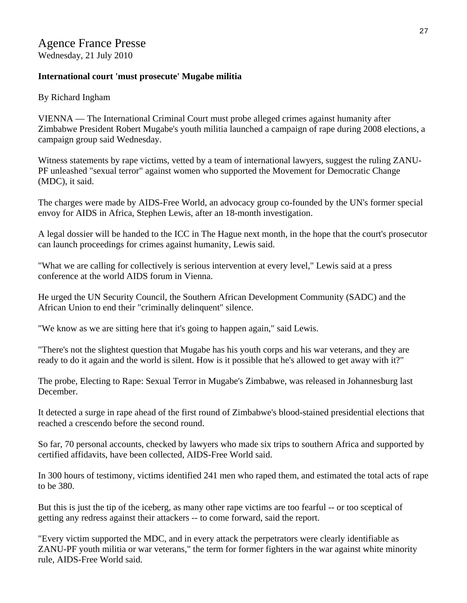#### **International court 'must prosecute' Mugabe militia**

By Richard Ingham

VIENNA — The International Criminal Court must probe alleged crimes against humanity after Zimbabwe President Robert Mugabe's youth militia launched a campaign of rape during 2008 elections, a campaign group said Wednesday.

Witness statements by rape victims, vetted by a team of international lawyers, suggest the ruling ZANU-PF unleashed "sexual terror" against women who supported the Movement for Democratic Change (MDC), it said.

The charges were made by AIDS-Free World, an advocacy group co-founded by the UN's former special envoy for AIDS in Africa, Stephen Lewis, after an 18-month investigation.

A legal dossier will be handed to the ICC in The Hague next month, in the hope that the court's prosecutor can launch proceedings for crimes against humanity, Lewis said.

"What we are calling for collectively is serious intervention at every level," Lewis said at a press conference at the world AIDS forum in Vienna.

He urged the UN Security Council, the Southern African Development Community (SADC) and the African Union to end their "criminally delinquent" silence.

"We know as we are sitting here that it's going to happen again," said Lewis.

"There's not the slightest question that Mugabe has his youth corps and his war veterans, and they are ready to do it again and the world is silent. How is it possible that he's allowed to get away with it?"

The probe, Electing to Rape: Sexual Terror in Mugabe's Zimbabwe, was released in Johannesburg last December.

It detected a surge in rape ahead of the first round of Zimbabwe's blood-stained presidential elections that reached a crescendo before the second round.

So far, 70 personal accounts, checked by lawyers who made six trips to southern Africa and supported by certified affidavits, have been collected, AIDS-Free World said.

In 300 hours of testimony, victims identified 241 men who raped them, and estimated the total acts of rape to be 380.

But this is just the tip of the iceberg, as many other rape victims are too fearful -- or too sceptical of getting any redress against their attackers -- to come forward, said the report.

"Every victim supported the MDC, and in every attack the perpetrators were clearly identifiable as ZANU-PF youth militia or war veterans," the term for former fighters in the war against white minority rule, AIDS-Free World said.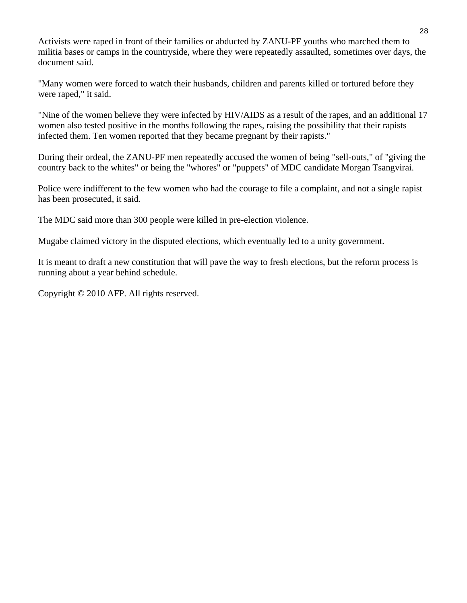Activists were raped in front of their families or abducted by ZANU-PF youths who marched them to militia bases or camps in the countryside, where they were repeatedly assaulted, sometimes over days, the document said.

"Many women were forced to watch their husbands, children and parents killed or tortured before they were raped," it said.

"Nine of the women believe they were infected by HIV/AIDS as a result of the rapes, and an additional 17 women also tested positive in the months following the rapes, raising the possibility that their rapists infected them. Ten women reported that they became pregnant by their rapists."

During their ordeal, the ZANU-PF men repeatedly accused the women of being "sell-outs," of "giving the country back to the whites" or being the "whores" or "puppets" of MDC candidate Morgan Tsangvirai.

Police were indifferent to the few women who had the courage to file a complaint, and not a single rapist has been prosecuted, it said.

The MDC said more than 300 people were killed in pre-election violence.

Mugabe claimed victory in the disputed elections, which eventually led to a unity government.

It is meant to draft a new constitution that will pave the way to fresh elections, but the reform process is running about a year behind schedule.

Copyright © 2010 AFP. All rights reserved.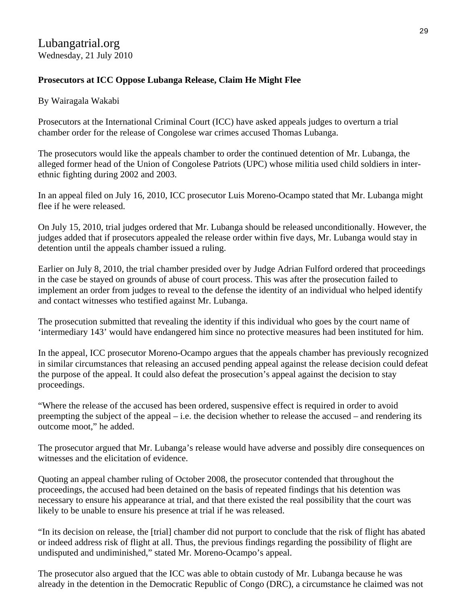#### **Prosecutors at ICC Oppose Lubanga Release, Claim He Might Flee**

#### By Wairagala Wakabi

Prosecutors at the International Criminal Court (ICC) have asked appeals judges to overturn a trial chamber order for the release of Congolese war crimes accused Thomas Lubanga.

The prosecutors would like the appeals chamber to order the continued detention of Mr. Lubanga, the alleged former head of the Union of Congolese Patriots (UPC) whose militia used child soldiers in interethnic fighting during 2002 and 2003.

In an appeal filed on July 16, 2010, ICC prosecutor Luis Moreno-Ocampo stated that Mr. Lubanga might flee if he were released.

On July 15, 2010, trial judges ordered that Mr. Lubanga should be released unconditionally. However, the judges added that if prosecutors appealed the release order within five days, Mr. Lubanga would stay in detention until the appeals chamber issued a ruling.

Earlier on July 8, 2010, the trial chamber presided over by Judge Adrian Fulford ordered that proceedings in the case be stayed on grounds of abuse of court process. This was after the prosecution failed to implement an order from judges to reveal to the defense the identity of an individual who helped identify and contact witnesses who testified against Mr. Lubanga.

The prosecution submitted that revealing the identity if this individual who goes by the court name of 'intermediary 143' would have endangered him since no protective measures had been instituted for him.

In the appeal, ICC prosecutor Moreno-Ocampo argues that the appeals chamber has previously recognized in similar circumstances that releasing an accused pending appeal against the release decision could defeat the purpose of the appeal. It could also defeat the prosecution's appeal against the decision to stay proceedings.

"Where the release of the accused has been ordered, suspensive effect is required in order to avoid preempting the subject of the appeal – i.e. the decision whether to release the accused – and rendering its outcome moot," he added.

The prosecutor argued that Mr. Lubanga's release would have adverse and possibly dire consequences on witnesses and the elicitation of evidence.

Quoting an appeal chamber ruling of October 2008, the prosecutor contended that throughout the proceedings, the accused had been detained on the basis of repeated findings that his detention was necessary to ensure his appearance at trial, and that there existed the real possibility that the court was likely to be unable to ensure his presence at trial if he was released.

"In its decision on release, the [trial] chamber did not purport to conclude that the risk of flight has abated or indeed address risk of flight at all. Thus, the previous findings regarding the possibility of flight are undisputed and undiminished," stated Mr. Moreno-Ocampo's appeal.

The prosecutor also argued that the ICC was able to obtain custody of Mr. Lubanga because he was already in the detention in the Democratic Republic of Congo (DRC), a circumstance he claimed was not